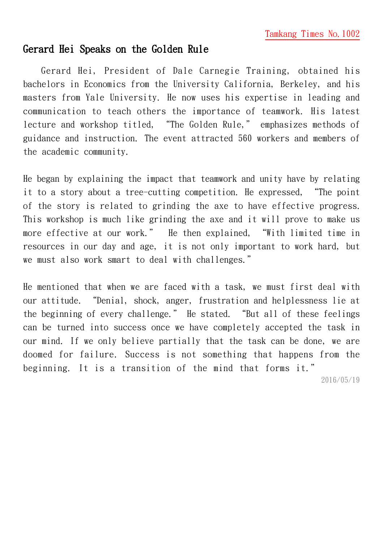## Gerard Hei Speaks on the Golden Rule

Gerard Hei, President of Dale Carnegie Training, obtained his bachelors in Economics from the University California, Berkeley, and his masters from Yale University. He now uses his expertise in leading and communication to teach others the importance of teamwork. His latest lecture and workshop titled, "The Golden Rule," emphasizes methods of guidance and instruction. The event attracted 560 workers and members of the academic community.

He began by explaining the impact that teamwork and unity have by relating it to a story about a tree-cutting competition. He expressed, "The point of the story is related to grinding the axe to have effective progress. This workshop is much like grinding the axe and it will prove to make us more effective at our work." He then explained, "With limited time in resources in our day and age, it is not only important to work hard, but we must also work smart to deal with challenges."

He mentioned that when we are faced with a task, we must first deal with our attitude. "Denial, shock, anger, frustration and helplessness lie at the beginning of every challenge." He stated. "But all of these feelings can be turned into success once we have completely accepted the task in our mind. If we only believe partially that the task can be done, we are doomed for failure. Success is not something that happens from the beginning. It is a transition of the mind that forms it."

2016/05/19